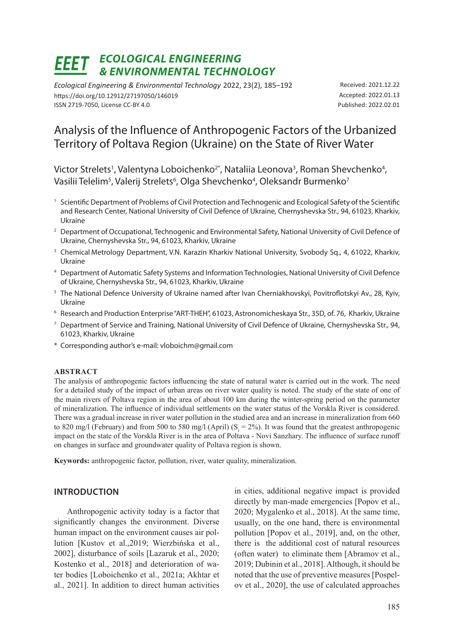# *ECOLOGICAL ENGINEERING & ENVIRONMENTAL TECHNOLOGY*

*Ecological Engineering & Environmental Technology* 2022, 23(2), 185–192 https://doi.org/10.12912/27197050/146019 ISSN 2719-7050, License CC-BY 4.0

Received: 2021.12.22 Accepted: 2022.01.13 Published: 2022.02.01

# Analysis of the Influence of Anthropogenic Factors of the Urbanized Territory of Poltava Region (Ukraine) on the State of River Water

Victor Strelets<sup>1</sup>, Valentyna Loboichenko<sup>2\*</sup>, Nataliia Leonova<sup>3</sup>, Roman Shevchenko<sup>4</sup>, Vasilii Telelim<sup>5</sup>, Valerij Strelets<sup>6</sup>, Olga Shevchenko<sup>4</sup>, Oleksandr Burmenko<sup>7</sup>

- <sup>1</sup> Scientific Department of Problems of Civil Protection and Technogenic and Ecological Safety of the Scientific and Research Center, National University of Civil Defenсe of Ukraine, Chernyshevska Str., 94, 61023, Kharkiv, Ukraine
- <sup>2</sup> Department of Occupational, Technogenic and Environmental Safety, National University of Civil Defence of Ukraine, Chernyshevska Str., 94, 61023, Kharkiv, Ukraine
- <sup>3</sup> Chemical Metrology Department, V.N. Karazin Kharkiv National University, Svobody Sq., 4, 61022, Kharkiv, Ukraine
- <sup>4</sup> Department of Automatic Safety Systems and Information Technologies, National University of Civil Defence of Ukraine, Chernyshevska Str., 94, 61023, Kharkiv, Ukraine
- <sup>5</sup> The National Defence University of Ukraine named after Ivan Cherniakhovskyi, Povitroflotskyi Av., 28, Kyiv, Ukraine
- <sup>6</sup> Research and Production Enterprise "ART-THEH", 61023, Astronomicheskaya Str., 35D, of. 76, Kharkiv, Ukraine
- <sup>7</sup> Department of Service and Training, National University of Civil Defence of Ukraine, Chernyshevska Str., 94, 61023, Kharkiv, Ukraine
- \* Corresponding author's e-mail: vloboichm@gmail.com

#### **ABSTRACT**

The analysis of anthropogenic factors influencing the state of natural water is carried out in the work. The need for a detailed study of the impact of urban areas on river water quality is noted. The study of the state of one of the main rivers of Poltava region in the area of about 100 km during the winter-spring period on the parameter of mineralization. The influence of individual settlements on the water status of the Vorskla River is considered. There was a gradual increase in river water pollution in the studied area and an increase in mineralization from 660 to 820 mg/l (February) and from 500 to 580 mg/l (April) ( $S_r = 2\%$ ). It was found that the greatest anthropogenic impact on the state of the Vorskla River is in the area of Poltava - Novi Sanzhary. The influence of surface runoff on changes in surface and groundwater quality of Poltava region is shown.

**Keywords:** anthropogenic factor, pollution, river, water quality, mineralization.

#### **INTRODUCTION**

Anthropogenic activity today is a factor that significantly changes the environment. Diverse human impact on the environment causes air pollution [Kustov et al.,2019; Wierzbińska et al., 2002], disturbance of soils [Lazaruk et al., 2020; Kostenko et al., 2018] and deterioration of water bodies [Loboichenko et al., 2021a; Akhtar et al., 2021]. In addition to direct human activities

in cities, additional negative impact is provided directly by man-made emergencies [Popov et al., 2020; Mygalenko et al., 2018]. At the same time, usually, on the one hand, there is environmental pollution [Popov et al., 2019], and, on the other, there is the additional cost of natural resources (often water) to eliminate them [Abramov et al., 2019; Dubinin et al., 2018]. Although, it should be noted that the use of preventive measures [Pospelov et al., 2020], the use of calculated approaches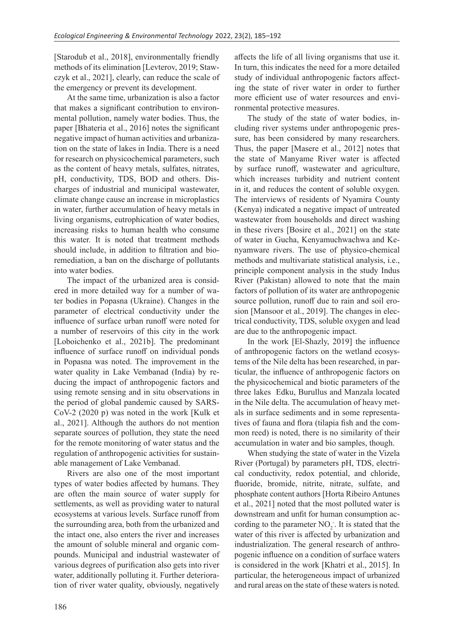[Starodub et al., 2018], environmentally friendly methods of its elimination [Levterov, 2019; Stawczyk et al., 2021], clearly, can reduce the scale of the emergency or prevent its development.

At the same time, urbanization is also a factor that makes a significant contribution to environmental pollution, namely water bodies. Thus, the paper [Bhateria et al., 2016] notes the significant negative impact of human activities and urbanization on the state of lakes in India. There is a need for research on physicochemical parameters, such as the content of heavy metals, sulfates, nitrates, pH, conductivity, TDS, BOD and others. Discharges of industrial and municipal wastewater, climate change cause an increase in microplastics in water, further accumulation of heavy metals in living organisms, eutrophication of water bodies, increasing risks to human health who consume this water. It is noted that treatment methods should include, in addition to filtration and bioremediation, a ban on the discharge of pollutants into water bodies.

The impact of the urbanized area is considered in more detailed way for a number of water bodies in Popasna (Ukraine). Changes in the parameter of electrical conductivity under the influence of surface urban runoff were noted for a number of reservoirs of this city in the work [Loboichenko et al., 2021b]. The predominant influence of surface runoff on individual ponds in Popasna was noted. The improvement in the water quality in Lake Vembanad (India) by reducing the impact of anthropogenic factors and using remote sensing and in situ observations in the period of global pandemic caused by SARS-CoV-2 (2020 р) was noted in the work [Kulk et al., 2021]. Although the authors do not mention separate sources of pollution, they state the need for the remote monitoring of water status and the regulation of anthropogenic activities for sustainable management of Lake Vembanad.

Rivers are also one of the most important types of water bodies affected by humans. They are often the main source of water supply for settlements, as well as providing water to natural ecosystems at various levels. Surface runoff from the surrounding area, both from the urbanized and the intact one, also enters the river and increases the amount of soluble mineral and organic compounds. Municipal and industrial wastewater of various degrees of purification also gets into river water, additionally polluting it. Further deterioration of river water quality, obviously, negatively

affects the life of all living organisms that use it. In turn, this indicates the need for a more detailed study of individual anthropogenic factors affecting the state of river water in order to further more efficient use of water resources and environmental protective measures.

The study of the state of water bodies, including river systems under anthropogenic pressure, has been considered by many researchers. Thus, the paper [Masere et al., 2012] notes that the state of Manyame River water is affected by surface runoff, wastewater and agriculture, which increases turbidity and nutrient content in it, and reduces the content of soluble oxygen. The interviews of residents of Nyamira County (Kenya) indicated a negative impact of untreated wastewater from households and direct washing in these rivers [Bosire et al., 2021] on the state of water in Gucha, Kenyamuchwachwa and Kenyamware rivers. The use of physico-chemical methods and multivariate statistical analysis, i.e., principle component analysis in the study Indus River (Pakistan) allowed to note that the main factors of pollution of its water are anthropogenic source pollution, runoff due to rain and soil erosion [Mansoor et al., 2019]. The changes in electrical conductivity, TDS, soluble oxygen and lead are due to the anthropogenic impact.

In the work [El-Shazly, 2019] the influence of anthropogenic factors on the wetland ecosystems of the Nile delta has been researched, in particular, the influence of anthropogenic factors on the physicochemical and biotic parameters of the three lakes Edku, Burullus and Manzala located in the Nile delta. The accumulation of heavy metals in surface sediments and in some representatives of fauna and flora (tilapia fish and the common reed) is noted, there is no similarity of their accumulation in water and bio samples, though.

When studying the state of water in the Vizela River (Portugal) by parameters pH, TDS, electrical conductivity, redox potential, and chloride, fluoride, bromide, nitrite, nitrate, sulfate, and phosphate content authors [Horta Ribeiro Antunes et al., 2021] noted that the most polluted water is downstream and unfit for human consumption according to the parameter  $NO<sub>2</sub>$ . It is stated that the water of this river is affected by urbanization and industrialization. The general research of anthropogenic influence on a condition of surface waters is considered in the work [Khatri et al., 2015]. In particular, the heterogeneous impact of urbanized and rural areas on the state of these waters is noted.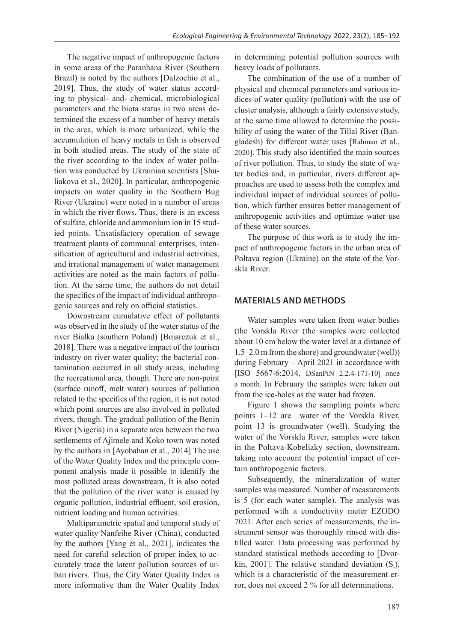The negative impact of anthropogenic factors in some areas of the Paranhana River (Southern Brazil) is noted by the authors [Dalzochio et al., 2019]. Thus, the study of water status according to physical- and- chemical, microbiological parameters and the biota status in two areas determined the excess of a number of heavy metals in the area, which is more urbanized, while the accumulation of heavy metals in fish is observed in both studied areas. The study of the state of the river according to the index of water pollution was conducted by Ukrainian scientists [Shuliakova et al., 2020]. In particular, anthropogenic impacts on water quality in the Southern Bug River (Ukraine) were noted in a number of areas in which the river flows. Thus, there is an excess of sulfate, chloride and ammonium ion in 15 studied points. Unsatisfactory operation of sewage treatment plants of communal enterprises, intensification of agricultural and industrial activities, and irrational management of water management activities are noted as the main factors of pollution. At the same time, the authors do not detail the specifics of the impact of individual anthropogenic sources and rely on official statistics.

Downstream cumulative effect of pollutants was observed in the study of the water status of the river Białka (southern Poland) [Bojarczuk et al., 2018]. There was a negative impact of the tourism industry on river water quality; the bacterial contamination occurred in all study areas, including the recreational area, though. There are non-point (surface runoff, melt water) sources of pollution related to the specifics of the region, it is not noted which point sources are also involved in polluted rivers, though. The gradual pollution of the Benin River (Nigeria) in a separate area between the two settlements of Ajimele and Koko town was noted by the authors in [Ayobahan et al., 2014] The use of the Water Quality Index and the principle component analysis made it possible to identify the most polluted areas downstream. It is also noted that the pollution of the river water is caused by organic pollution, industrial effluent, soil erosion, nutrient loading and human activities.

Multiparametric spatial and temporal study of water quality Nanfeihe River (China), conducted by the authors [Yang et al., 2021], indicates the need for careful selection of proper index to accurately trace the latent pollution sources of urban rivers. Thus, the City Water Quality Index is more informative than the Water Quality Index

in determining potential pollution sources with heavy loads of pollutants.

The combination of the use of a number of physical and chemical parameters and various indices of water quality (pollution) with the use of cluster analysis, although a fairly extensive study, at the same time allowed to determine the possibility of using the water of the Tillai River (Bangladesh) for different water uses [Rahman et al., 2020]. This study also identified the main sources of river pollution. Thus, to study the state of water bodies and, in particular, rivers different approaches are used to assess both the complex and individual impact of individual sources of pollution, which further ensures better management of anthropogenic activities and optimize water use of these water sources.

The purpose of this work is to study the impact of anthropogenic factors in the urban area of Poltava region (Ukraine) on the state of the Vorskla River.

#### **MATERIALS AND METHODS**

Water samples were taken from water bodies (the Vorskla River (the samples were collected about 10 cm below the water level at a distance of 1.5–2.0 m from the shore) and groundwater (well)) during February – April 2021 in accordance with [ISO 5667-6:2014, DSanPiN 2.2.4-171-10] once a month. In February the samples were taken out from the ice-holes as the water had frozen.

Figure 1 shows the sampling points where points 1–12 are water of the Vorskla River, point 13 is groundwater (well). Studying the water of the Vorskla River, samples were taken in the Poltava-Kobeliaky section, downstream, taking into account the potential impact of certain anthropogenic factors.

Subsequently, the mineralization of water samples was measured. Number of measurements is 5 (for each water sample). The analysis was performed with a conductivity meter EZODO 7021. After each series of measurements, the instrument sensor was thoroughly rinsed with distilled water. Data processing was performed by standard statistical methods according to [Dvorkin, 2001]. The relative standard deviation  $(S_r)$ , which is a characteristic of the measurement error, does not exceed 2 % for all determinations.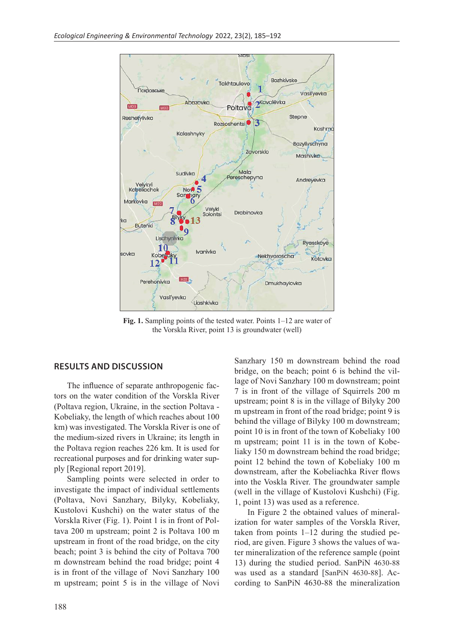

**Fig. 1.** Sampling points of the tested water. Points 1–12 are water of the Vorskla River, point 13 is groundwater (well)

## **RESULTS AND DISCUSSION**

The influence of separate anthropogenic factors on the water condition of the Vorskla River (Poltava region, Ukraine, in the section Poltava - Kobeliaky, the length of which reaches about 100 km) was investigated. The Vorskla River is one of the medium-sized rivers in Ukraine; its length in the Poltava region reaches 226 km. It is used for recreational purposes and for drinking water supply [Regional report 2019].

Sampling points were selected in order to investigate the impact of individual settlements (Poltava, Novi Sanzhary, Bilyky, Kobeliaky, Kustolovi Kushchi) on the water status of the Vorskla River (Fig. 1). Point 1 is in front of Poltava 200 m upstream; point 2 is Poltava 100 m upstream in front of the road bridge, on the city beach; point 3 is behind the city of Poltava 700 m downstream behind the road bridge; point 4 is in front of the village of Novi Sanzhary 100 m upstream; point 5 is in the village of Novi Sanzhary 150 m downstream behind the road bridge, on the beach; point 6 is behind the village of Novi Sanzhary 100 m downstream; point 7 is in front of the village of Squirrels 200 m upstream; point 8 is in the village of Bilyky 200 m upstream in front of the road bridge; point 9 is behind the village of Bilyky 100 m downstream; point 10 is in front of the town of Kobeliaky 100 m upstream; point 11 is in the town of Kobeliaky 150 m downstream behind the road bridge; point 12 behind the town of Kobeliaky 100 m downstream, after the Kobeliachka River flows into the Voskla River. The groundwater sample (well in the village of Kustolovi Kushchi) (Fig. 1, point 13) was used as a reference.

In Figure 2 the obtained values of mineralization for water samples of the Vorskla River, taken from points  $1-12$  during the studied period, are given. Figure 3 shows the values of water mineralization of the reference sample (point 13) during the studied period. SanPiN 4630-88 was used as a standard [SanPiN 4630-88]. According to SanPiN 4630-88 the mineralization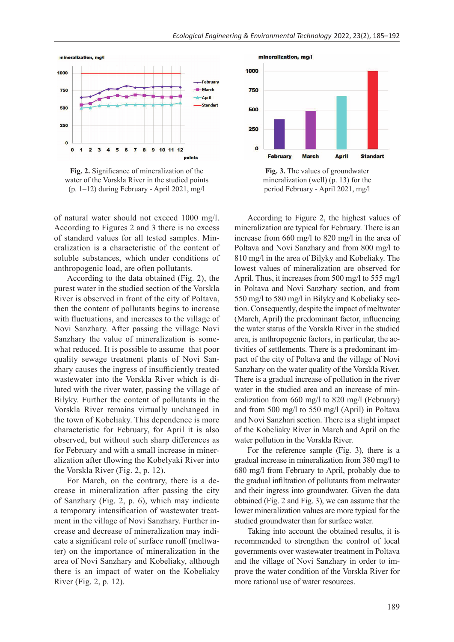

**Fig. 2.** Significance of mineralization of the water of the Vorskla River in the studied points (p. 1–12) during February - April 2021, mg/l

of natural water should not exceed 1000 mg/l. According to Figures 2 and 3 there is no excess of standard values for all tested samples. Mineralization is a characteristic of the content of soluble substances, which under conditions of anthropogenic load, are often pollutants.

According to the data obtained (Fig. 2), the purest water in the studied section of the Vorskla River is observed in front of the city of Poltava, then the content of pollutants begins to increase with fluctuations, and increases to the village of Novi Sanzhary. After passing the village Novi Sanzhary the value of mineralization is somewhat reduced. It is possible to assume that poor quality sewage treatment plants of Novi Sanzhary causes the ingress of insufficiently treated wastewater into the Vorskla River which is diluted with the river water, passing the village of Bilyky. Further the content of pollutants in the Vorskla River remains virtually unchanged in the town of Kobeliaky. This dependence is more characteristic for February, for April it is also observed, but without such sharp differences as for February and with a small increase in mineralization after tflowing the Kobelyaki River into the Vorskla River (Fig. 2, p. 12).

For March, on the contrary, there is a decrease in mineralization after passing the city of Sanzhary (Fig. 2, p. 6), which may indicate a temporary intensification of wastewater treatment in the village of Novi Sanzhary. Further increase and decrease of mineralization may indicate a significant role of surface runoff (meltwater) on the importance of mineralization in the area of Novi Sanzhary and Kobeliaky, although there is an impact of water on the Kobeliaky River (Fig. 2, p. 12).



**Fig. 3.** The values of groundwater mineralization (well) (p. 13) for the period February - April 2021, mg/l

According to Figure 2, the highest values of mineralization are typical for February. There is an increase from 660 mg/l to 820 mg/l in the area of Poltava and Novi Sanzhary and from 800 mg/l to 810 mg/l in the area of Bilyky and Kobeliaky. The lowest values of mineralization are observed for April. Thus, it increases from 500 mg/l to 555 mg/l in Poltava and Novi Sanzhary section, and from 550 mg/l to 580 mg/l in Bilyky and Kobeliaky section. Consequently, despite the impact of meltwater (March, April) the predominant factor, influencing the water status of the Vorskla River in the studied area, is anthropogenic factors, in particular, the activities of settlements. There is a predominant impact of the city of Poltava and the village of Novi Sanzhary on the water quality of the Vorskla River. There is a gradual increase of pollution in the river water in the studied area and an increase of mineralization from 660 mg/l to 820 mg/l (February) and from 500 mg/l to 550 mg/l (April) in Poltava and Novi Sanzhari section. There is a slight impact of the Kobeliaky River in March and April on the water pollution in the Vorskla River.

For the reference sample (Fig. 3), there is a gradual increase in mineralization from 380 mg/l to 680 mg/l from February to April, probably due to the gradual infiltration of pollutants from meltwater and their ingress into groundwater. Given the data obtained (Fig. 2 and Fig. 3), we can assume that the lower mineralization values are more typical for the studied groundwater than for surface water.

Taking into account the obtained results, it is recommended to strengthen the control of local governments over wastewater treatment in Poltava and the village of Novi Sanzhary in order to improve the water condition of the Vorskla River for more rational use of water resources.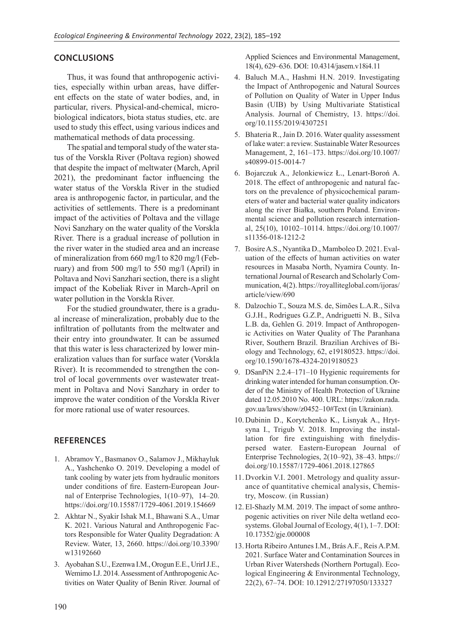#### **CONCLUSIONS**

Thus, it was found that anthropogenic activities, especially within urban areas, have different effects on the state of water bodies, and, in particular, rivers. Physical-and-chemical, microbiological indicators, biota status studies, etc. are used to study this effect, using various indices and mathematical methods of data processing.

The spatial and temporal study of the water status of the Vorskla River (Poltava region) showed that despite the impact of meltwater (March, April 2021), the predominant factor influencing the water status of the Vorskla River in the studied area is anthropogenic factor, in particular, and the activities of settlements. There is a predominant impact of the activities of Poltava and the village Novi Sanzhary on the water quality of the Vorskla River. There is a gradual increase of pollution in the river water in the studied area and an increase of mineralization from 660 mg/l to 820 mg/l (February) and from 500 mg/l to 550 mg/l (April) in Poltava and Novi Sanzhari section, there is a slight impact of the Kobeliak River in March-April on water pollution in the Vorskla River.

For the studied groundwater, there is a gradual increase of mineralization, probably due to the infiltration of pollutants from the meltwater and their entry into groundwater. It can be assumed that this water is less characterized by lower mineralization values than for surface water (Vorskla River). It is recommended to strengthen the control of local governments over wastewater treatment in Poltava and Novi Sanzhary in order to improve the water condition of the Vorskla River for more rational use of water resources.

## **REFERENCES**

- 1. Abramov Y., Basmanov O., Salamov J., Mikhayluk A., Yashchenko O. 2019. Developing a model of tank cooling by water jets from hydraulic monitors under conditions of fire. Eastern-European Journal of Enterprise Technologies, 1(10–97), 14–20. https://doi.org/10.15587/1729-4061.2019.154669
- 2. Akhtar N., Syakir Ishak M.I., Bhawani S.A., Umar K. 2021. Various Natural and Anthropogenic Factors Responsible for Water Quality Degradation: A Review. Water, 13, 2660. https://doi.org/10.3390/ w13192660
- 3. Ayobahan S.U., Ezenwa I.M., Orogun E.E., UrirI J.E., Wemimo I.J. 2014. Assessment of Anthropogenic Activities on Water Quality of Benin River. Journal of

Applied Sciences and Environmental Management, 18(4), 629–636. DOI: 10.4314/jasem.v18i4.11

- 4. Baluch M.A., Hashmi H.N. 2019. Investigating the Impact of Anthropogenic and Natural Sources of Pollution on Quality of Water in Upper Indus Basin (UIB) by Using Multivariate Statistical Analysis. Journal of Chemistry, 13. https://doi. org/10.1155/2019/4307251
- 5. Bhateria R., Jain D. 2016. Water quality assessment of lake water: a review. Sustainable Water Resources Management, 2, 161–173. https://doi.org/10.1007/ s40899-015-0014-7
- 6. Bojarczuk A., Jelonkiewicz Ł., Lenart-Boroń A. 2018. The effect of anthropogenic and natural factors on the prevalence of physicochemical parameters of water and bacterial water quality indicators along the river Białka, southern Poland. Environmental science and pollution research international, 25(10), 10102–10114. https://doi.org/10.1007/ s11356-018-1212-2
- 7. Bosire A.S., Nyantika D., Mamboleo D. 2021. Evaluation of the effects of human activities on water resources in Masaba North, Nyamira County. International Journal of Research and Scholarly Communication, 4(2). https://royalliteglobal.com/ijoras/ article/view/690
- 8. Dalzochio T., Souza M.S. de, Simões L.A.R., Silva G.J.H., Rodrigues G.Z.P., Andriguetti N. B., Silva L.B. da, Gehlen G. 2019. Impact of Anthropogenic Activities on Water Quality of The Paranhana River, Southern Brazil. Brazilian Archives of Biology and Technology, 62, e19180523. https://doi. org/10.1590/1678-4324-2019180523
- 9. DSanPiN 2.2.4–171–10 Hygienic requirements for drinking water intended for human consumption. Order of the Ministry of Health Protection of Ukraine dated 12.05.2010 No. 400. URL: https://zakon.rada. gov.ua/laws/show/z0452–10#Text (in Ukrainian).
- 10. Dubinin D., Korytchenko K., Lisnyak A., Hrytsyna I., Trigub V. 2018. Improving the installation for fire extinguishing with finelydispersed water. Eastern-European Journal of Enterprise Technologies, 2(10–92), 38–43. https:// doi.org/10.15587/1729-4061.2018.127865
- 11. Dvorkin V.I. 2001. Metrology and quality assurance of quantitative chemical analysis, Chemistry, Moscow. (in Russian)
- 12. El-Shazly M.M. 2019. The impact of some anthropogenic activities on river Nile delta wetland ecosystems. Global Journal of Ecology, 4(1), 1–7. DOI: 10.17352/gje.000008
- 13. Horta Ribeiro Antunes I.M., Brás A.F., Reis A.P.M. 2021. Surface Water and Contamination Sources in Urban River Watersheds (Northern Portugal). Ecological Engineering & Environmental Technology, 22(2), 67–74. DOI: 10.12912/27197050/133327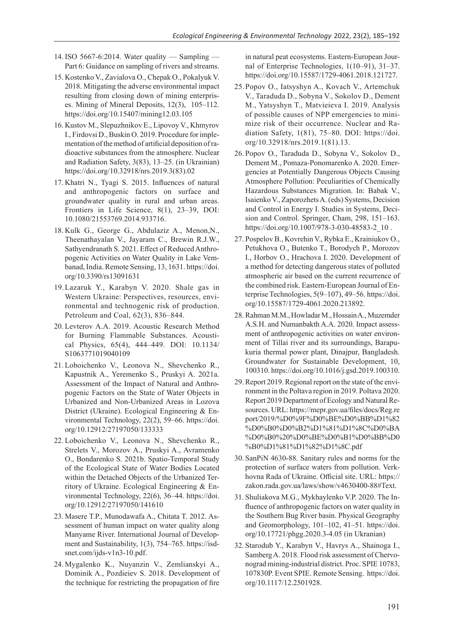- 14.ISO 5667-6:2014. Water quality Sampling Part 6: Guidance on sampling of rivers and streams.
- 15. Kostenko V., Zavialova O., Chepak O., Pokalyuk V. 2018. Mitigating the adverse environmental impact resulting from closing down of mining enterprises. Mining of Mineral Deposits, 12(3), 105–112. https://doi.org/10.15407/mining12.03.105
- 16. Kustov M., Slepuzhnikov E., Lipovoy V., Khmyrov I., Firdovsi D., Buskin O. 2019. Procedure for implementation of the method of artificial deposition of radioactive substances from the atmosphere. Nuclear and Radiation Safety, 3(83), 13–25. (in Ukrainian) https://doi.org/10.32918/nrs.2019.3(83).02
- 17. Khatri N., Tyagi S. 2015. Influences of natural and anthropogenic factors on surface and groundwater quality in rural and urban areas. Frontiers in Life Science, 8(1), 23–39, DOI: 10.1080/21553769.2014.933716.
- 18. Kulk G., George G., Abdulaziz A., Menon,N., Theenathayalan V., Jayaram C., Brewin R.J.W., Sathyendranath S. 2021. Effect of Reduced Anthropogenic Activities on Water Quality in Lake Vembanad, India. Remote Sensing, 13, 1631. https://doi. org/10.3390/rs13091631
- 19.Lazaruk Y., Karabyn V. 2020. Shale gas in Western Ukraine: Perspectives, resources, environmental and technogenic risk of production. Petroleum and Coal, 62(3), 836–844.
- 20. Levterov A.A. 2019. Acoustic Research Method for Burning Flammable Substances. Acoustical Physics, 65(4), 444–449. DOI: 10.1134/ S1063771019040109
- 21. Loboichenko V., Leonova N., Shevchenko R., Kapustnik A., Yeremenko S., Pruskyi A. 2021a. Assessment of the Impact of Natural and Anthropogenic Factors on the State of Water Objects in Urbanized and Non-Urbanized Areas in Lozova District (Ukraine). Ecological Engineering & Environmental Technology, 22(2), 59–66. https://doi. org/10.12912/27197050/133333
- 22. Loboichenko V., Leonova N., Shevchenko R., Strelets V., Morozov A., Pruskyi A., Avramenko O., Bondarenko S. 2021b. Spatiо-Temporal Study of the Ecological State of Water Bodies Located within the Detached Objects of the Urbanized Territory of Ukraine. Ecological Engineering & Environmental Technology, 22(6), 36–44. https://doi. org/10.12912/27197050/141610
- 23. Masere T.P., Munodawafa A., Chitata T. 2012. Assessment of human impact on water quality along Manyame River. International Journal of Development and Sustainability, 1(3), 754–765. https://isdsnet.com/ijds-v1n3-10.pdf.
- 24. Mygalenko K., Nuyanzin V., Zemlianskyi A., Dominik A., Pozdieiev S. 2018. Development of the technique for restricting the propagation of fire

in natural peat ecosystems. Eastern-European Journal of Enterprise Technologies, 1(10–91), 31–37. https://doi.org/10.15587/1729-4061.2018.121727.

- 25.Popov O., Iatsyshyn A., Kovach V., Artemchuk V., Taraduda D., Sobyna V., Sokolov D., Dement M., Yatsyshyn T., Matvieieva I. 2019. Analysis of possible causes of NPP emergencies to minimize risk of their occurrence. Nuclear and Radiation Safety, 1(81), 75–80. DOI: https://doi. org/10.32918/nrs.2019.1(81).13.
- 26. Popov O., Taraduda D., Sobyna V., Sokolov D., Dement M., Pomaza-Ponomarenko A. 2020. Emergencies at Potentially Dangerous Objects Causing Atmosphere Pollution: Peculiarities of Chemically Hazardous Substances Migration. In: Babak V., Isaienko V., Zaporozhets A. (eds) Systems, Decision and Control in Energy I. Studies in Systems, Decision and Control. Springer, Cham, 298, 151–163. https://doi.org/10.1007/978-3-030-48583-2\_10.
- 27. Pospelov B., Kovrehin V., Rybka E., Krainiukov O., Petukhova O., Butenko T., Borodych P., Morozov I., Horbov O., Hrachova I. 2020. Development of a method for detecting dangerous states of polluted atmospheric air based on the current recurrence of the combined risk. Eastern-European Journal of Enterprise Technologies, 5(9–107), 49–56. https://doi. org/10.15587/1729-4061.2020.213892.
- 28. Rahman M.M., Howladar M., Hossain A., Muzemder A.S.H. and Numanbakth A.A. 2020. Impact assessment of anthropogenic activities on water environment of Tillai river and its surroundings, Barapukuria thermal power plant, Dinajpur, Bangladesh. Groundwater for Sustainable Development, 10, 100310. https://doi.org/10.1016/j.gsd.2019.100310.
- 29. Report 2019. Regional report on the state of the environment in the Poltava region in 2019. Poltava 2020. Report 2019 Department of Ecology and Natural Resources. URL: https://mepr.gov.ua/files/docs/Reg.re port/2019/%D0%9F%D0%BE%D0%BB%D1%82 %D0%B0%D0%B2%D1%81%D1%8C%D0%BA %D0%B0%20%D0%BE%D0%B1%D0%BB%D0 %B0%D1%81%D1%82%D1%8C.pdf
- 30. SanPiN 4630-88. Sanitary rules and norms for the protection of surface waters from pollution. Verkhovna Rada of Ukraine. Official site. URL: https:// zakon.rada.gov.ua/laws/show/v4630400-88#Text.
- 31. Shuliakova M.G., Mykhaylenko V.P. 2020. The Influence of anthropogenic factors on water quality in the Southern Bug River basin. Physical Geography and Geomorphology, 101–102, 41–51. https://doi. org/10.17721/phgg.2020.3-4.05 (in Ukranian)
- 32. Starodub Y., Karabyn V., Havrys A., Shainoga I., Samberg A. 2018. Flood risk assessment of Chervonograd mining-industrial district. Proc. SPIE 10783, 107830P. Event SPIE. Remote Sensing. https://doi. org/10.1117/12.2501928.